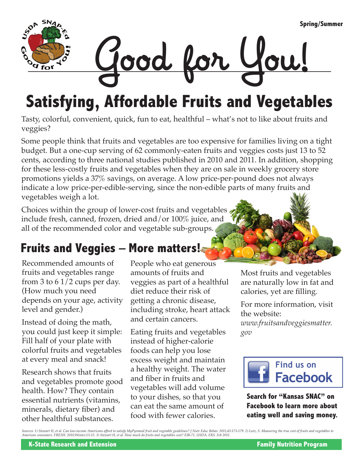

# **Satisfying, Affordable Fruits and Vegetables**

Tasty, colorful, convenient, quick, fun to eat, healthful – what's not to like about fruits and veggies?

Some people think that fruits and vegetables are too expensive for families living on a tight budget. But a one-cup serving of 62 commonly-eaten fruits and veggies costs just 13 to 52 cents, according to three national studies published in 2010 and 2011. In addition, shopping for these less-costly fruits and vegetables when they are on sale in weekly grocery store promotions yields a 37% savings, on average. A low price-per-pound does not always indicate a low price-per-edible-serving, since the non-edible parts of many fruits and vegetables weigh a lot.

Choices within the group of lower-cost fruits and vegetables include fresh, canned, frozen, dried and/or 100% juice, and all of the recommended color and vegetable sub-groups.

### **Fruits and Veggies – More matters!**

Recommended amounts of fruits and vegetables range from 3 to  $61/2$  cups per day. (How much you need depends on your age, activity level and gender.)

Instead of doing the math, you could just keep it simple: Fill half of your plate with colorful fruits and vegetables at every meal and snack!

Research shows that fruits and vegetables promote good health. How? They contain essential nutrients (vitamins, minerals, dietary fiber) and other healthful substances.

People who eat generous amounts of fruits and veggies as part of a healthful diet reduce their risk of getting a chronic disease, including stroke, heart attack and certain cancers.

Eating fruits and vegetables instead of higher-calorie foods can help you lose excess weight and maintain a healthy weight. The water and fiber in fruits and vegetables will add volume to your dishes, so that you can eat the same amount of food with fewer calories.

Most fruits and vegetables are naturally low in fat and calories, yet are filling.

For more information, visit the website: *www.fruitsandveggiesmatter. gov*



**Search for "Kansas SNAC" on Facebook to learn more about eating well and saving money.**

Sources: 1) Stewart H, et al. Can low-income Americans afford to satisfy MyPyramid fruit and vegetable guidelines? J Nutr Educ Behav. 2011;43:173-179. 2) Lutz, S. Measuring the true cost of fruits and vegetables to<br>America